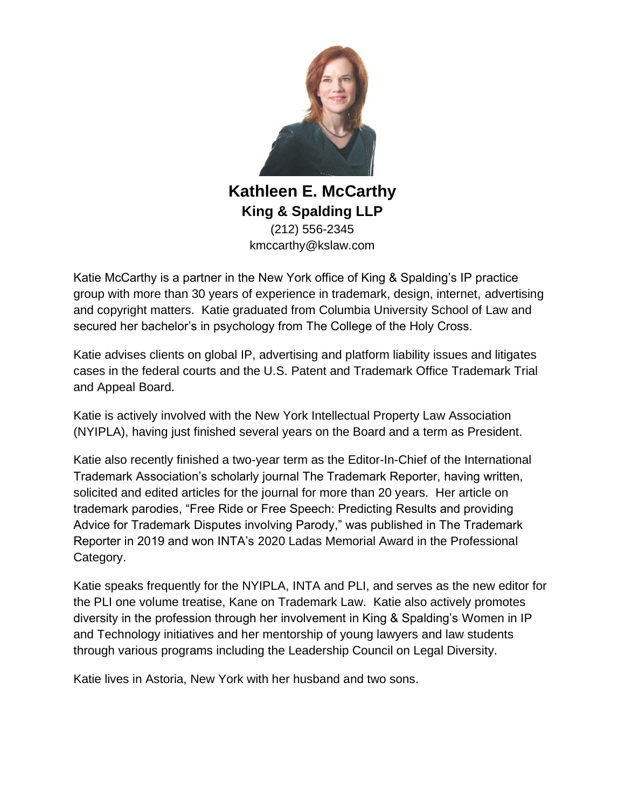

**Kathleen E. McCarthy King & Spalding LLP** (212) 556-2345 kmccarthy@kslaw.com

Katie McCarthy is a partner in the New York office of King & Spalding's IP practice group with more than 30 years of experience in trademark, design, internet, advertising and copyright matters. Katie graduated from Columbia University School of Law and secured her bachelor's in psychology from The College of the Holy Cross.

Katie advises clients on global IP, advertising and platform liability issues and litigates cases in the federal courts and the U.S. Patent and Trademark Office Trademark Trial and Appeal Board.

Katie is actively involved with the New York Intellectual Property Law Association (NYIPLA), having just finished several years on the Board and a term as President.

Katie also recently finished a two-year term as the Editor-In-Chief of the International Trademark Association's scholarly journal The Trademark Reporter, having written, solicited and edited articles for the journal for more than 20 years. Her article on trademark parodies, "Free Ride or Free Speech: Predicting Results and providing Advice for Trademark Disputes involving Parody," was published in The Trademark Reporter in 2019 and won INTA's 2020 Ladas Memorial Award in the Professional Category.

Katie speaks frequently for the NYIPLA, INTA and PLI, and serves as the new editor for the PLI one volume treatise, Kane on Trademark Law. Katie also actively promotes diversity in the profession through her involvement in King & Spalding's Women in IP and Technology initiatives and her mentorship of young lawyers and law students through various programs including the Leadership Council on Legal Diversity.

Katie lives in Astoria, New York with her husband and two sons.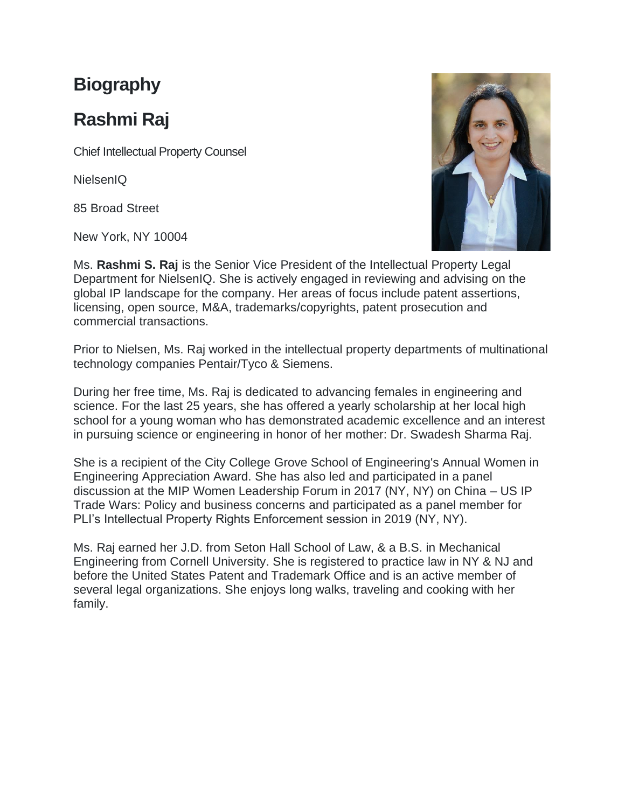## **Biography**

# **Rashmi Raj**

Chief Intellectual Property Counsel

NielsenIQ

85 Broad Street

New York, NY 10004



Ms. **Rashmi S. Raj** is the Senior Vice President of the Intellectual Property Legal Department for NielsenIQ. She is actively engaged in reviewing and advising on the global IP landscape for the company. Her areas of focus include patent assertions, licensing, open source, M&A, trademarks/copyrights, patent prosecution and commercial transactions.

Prior to Nielsen, Ms. Raj worked in the intellectual property departments of multinational technology companies Pentair/Tyco & Siemens.

During her free time, Ms. Raj is dedicated to advancing females in engineering and science. For the last 25 years, she has offered a yearly scholarship at her local high school for a young woman who has demonstrated academic excellence and an interest in pursuing science or engineering in honor of her mother: Dr. Swadesh Sharma Raj.

She is a recipient of the City College Grove School of Engineering's Annual Women in Engineering Appreciation Award. She has also led and participated in a panel discussion at the MIP Women Leadership Forum in 2017 (NY, NY) on China – US IP Trade Wars: Policy and business concerns and participated as a panel member for PLI's Intellectual Property Rights Enforcement session in 2019 (NY, NY).

Ms. Raj earned her J.D. from Seton Hall School of Law, & a B.S. in Mechanical Engineering from Cornell University. She is registered to practice law in NY & NJ and before the United States Patent and Trademark Office and is an active member of several legal organizations. She enjoys long walks, traveling and cooking with her family.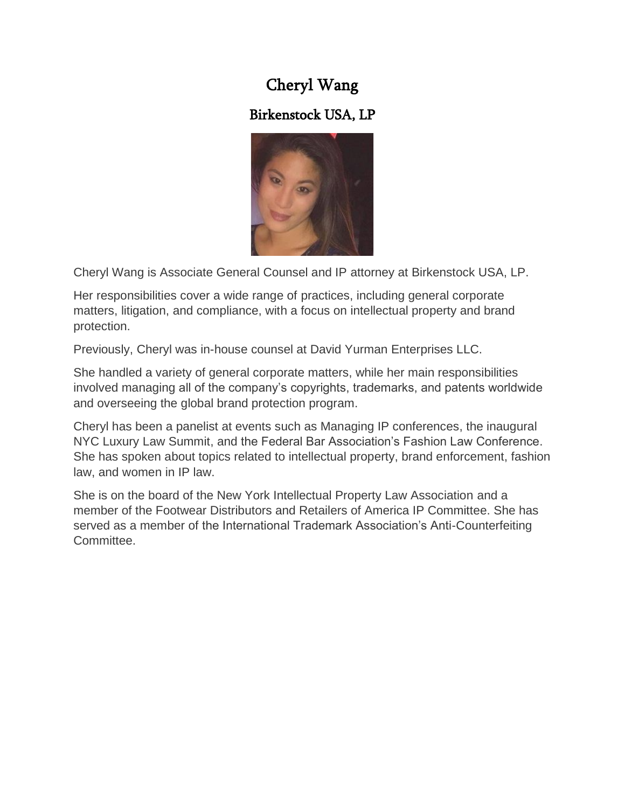## Cheryl Wang

### Birkenstock USA, LP



Cheryl Wang is Associate General Counsel and IP attorney at Birkenstock USA, LP.

Her responsibilities cover a wide range of practices, including general corporate matters, litigation, and compliance, with a focus on intellectual property and brand protection.

Previously, Cheryl was in-house counsel at David Yurman Enterprises LLC.

She handled a variety of general corporate matters, while her main responsibilities involved managing all of the company's copyrights, trademarks, and patents worldwide and overseeing the global brand protection program.

Cheryl has been a panelist at events such as Managing IP conferences, the inaugural NYC Luxury Law Summit, and the Federal Bar Association's Fashion Law Conference. She has spoken about topics related to intellectual property, brand enforcement, fashion law, and women in IP law.

She is on the board of the New York Intellectual Property Law Association and a member of the Footwear Distributors and Retailers of America IP Committee. She has served as a member of the International Trademark Association's Anti-Counterfeiting Committee.